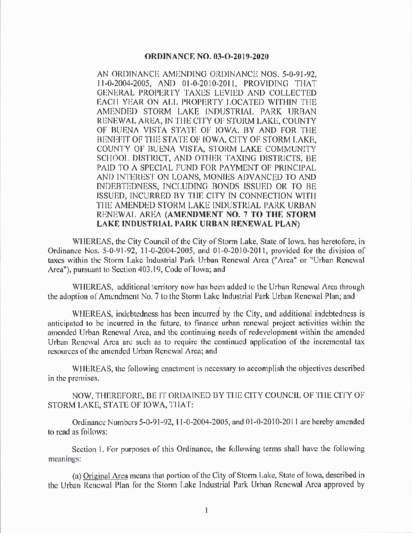## **ORDINANCE NO. 03-O-2019-2020**

AN ORDINANCE AMENDING ORDINANCE NOS. 5-0-91-92. 11-0-2004-2005, AND 01-0-2010-2011, PROVIDING THAT GENERAL PROPERTY TAXES LEVIED AND COLLECTED EACH YEAR ON ALL PROPERTY LOCATED WITHIN THE AMENDED STORM LAKE INDUSTRIAL PARK URBAN RENEWAL AREA, IN THE CITY OF STORM LAKE, COUNTY OF BUENA VISTA STATE OF IOWA, BY AND FOR THE BENIEFIT OF THE STATE OF IOWA, CITY OF STORM LAKE, COUNTY OF BUENA VISTA, STORM LAKE COMMUNITY SCHOOL DISTRICT, AND OTHER TAXING DISTRICTS, BE PAID TO A SPECIAL FUND FOR PAYMENT OF PRINCIPAL AND INTEREST ON LOANS, MONIES ADVANCED TO AND INDEBTEDNESS, INCLUDING BONDS ISSUED OR TO BE ISSUED, INCURRED BY THE CITY IN CONNECTION WITH THE AMENDED STORM LAKE INDUSTRIAL PARK URBAN RENEWAL AREA (AMENDMENT NO. 7 TO THE STORM LAKE INDUSTRIAL PARK URBAN RENEWAL PLAN)

WHEREAS, the City Council of the City of Storm Lake, State of Iowa, has heretofore, in Ordinance Nos. 5-0-91-92, 11-0-2004-2005, and 01-0-2010-2011, provided for the division of taxes within the Storm Lake Industrial Park Urban Renewal Area ("Area" or "Urban Renewal Area"), pursuant to Section 403.19, Code of Iowa; and

WHEREAS, additional territory now has been added to the Urban Renewal Area through the adoption of Amendment No. 7 to the Storm Lake Industrial Park Urban Renewal Plan; and

WHEREAS, indebtedness has been incurred by the City, and additional indebtedness is anticipated to be incurred in the future, to finance urban renewal project activities within the amended Urban Renewal Area, and the continuing needs of redevelopment within the amended Urban Renewal Area are such as to require the continued application of the incremental tax resources of the amended Urban Renewal Area; and

WHEREAS, the following enactment is necessary to accomplish the objectives described in the premises.

NOW, THEREFORE, BE IT ORDAINED BY THE CITY COUNCIL OF THE CITY OF STORM LAKE, STATE OF IOWA, THAT:

Ordinance Numbers 5-0-91-92, 11-0-2004-2005, and 01-0-2010-2011 are hereby amended to read as follows:

Section 1. For purposes of this Ordinance, the following terms shall have the following meanings:

(a) Original Area means that portion of the City of Storm Lake, State of Iowa, described in the Urban Renewal Plan for the Storm Lake Industrial Park Urban Renewal Area approved by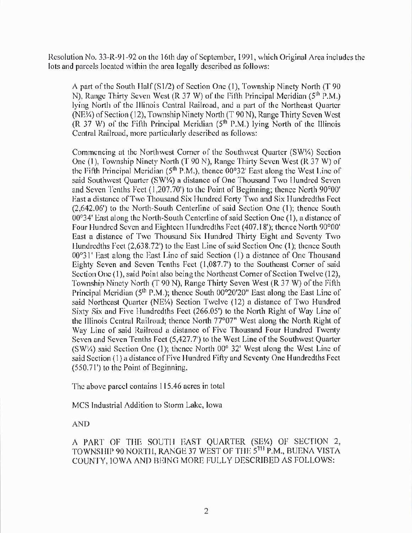Resolution No. 33-R-91-92 on the 16th day of September, 1991, which Original Area includes the lots and parcels located within the area legally described as follows:

A part of the South Half ( $S1/2$ ) of Section One (1), Township Ninety North (T 90 N), Range Thirty Seven West (R 37 W) of the Fifth Principal Meridian ( $5<sup>th</sup>$  P.M.) lying North of the lllinois Central Railroad, and a part of thc Northcast Quartcr (NE $/4$ ) of Section (12), Township Ninety North (T 90 N), Range Thirty Seven West  $(R$  37 W) of the Fifth Principal Meridian  $(5<sup>th</sup>$  P.M.) lying North of the Illinois Central Railroad, more particularly described as follows:

Commencing at the Northwest Corner of the Southwest Quarter (SW<sup>1</sup>/<sub>2</sub>) Section One (1), Township Ninety North (T 90 N), Range Thirty Seven West (R 37 W) of the Fifth Principal Meridian ( $5<sup>th</sup>$  P.M.), thence 00°32' East along the West Line of said Southwest Quarter (SW1/4) a distance of One Thousand Two Hundred Seven and Seven Tenths Feet  $(1, 207.70')$  to the Point of Beginning; thence North  $90^{\circ}00'$ Hast a distance of Two Thousand Six Hundred Forty Two and Six Hundredths Feet 2, 642. 06') to the North- South Centerline of said Section One ( I); thence South  $00^{\circ}34'$  East along the North-South Centerline of said Section One (1), a distance of Four Hundred Seven and Eighteen Hundredths Feet (407.18'); thence North 90°00' East a distance of Two Thousand Six Hundred Thirty Eight and Seventy Two Hundredths Feet  $(2, 638.72')$  to the East Line of said Section One  $(1)$ ; thence South  $00^{\circ}31'$  East along the East Line of said Section (1) a distance of One Thousand Eighty Seven and Seven Tenths Feet  $(1,087.7')$  to the Southeast Corner of said Section One (1), said Point also being the Northeast Corner of Section Twelve (12), Township Ninety North (T 90 N), Range Thirty Seven West ( $R$  37 W) of the Fifth Principal Meridian ( $5<sup>th</sup>$  P.M.); thence South 00°20'20" East along the East Line of said Northeast Quarter (NE¼) Section Twelve (12) a distance of Two Hundred Sixty Six and Five Hundredths Feet (266.05') to the North Right of Way Line of the Illinois Central Railroad; thence North 77°07" West along the North Right of Way Line of said Railroad a distance of Five Thousand Four Hundred Twenty Seven and Seven Tenths Feet (5,427.7') to the West Line of the Southwest Quarter (SW $\frac{1}{2}$ ) said Section One (1); thence North 00° 32' West along the West Line of said Section (1) a distance of Five Hundred Fifty and Seventy One Hundredths Feet 550. 71') to thc Point of Beginning.

The above parcel contains 115.46 acres in total

MCS Industrial Addition to Storm Lake, lowa

AND

A PART OF THE SOUTH EAST QUARTER (SE¼) OF SECTION 2, TOWNSHIP 90 NORTH, RANGE 37 WEST OF THE 5TH P.M., BUENA VISTA COUNTY, IOWA AND BEING MORE FULLY DESCRIBED AS FOLLOWS: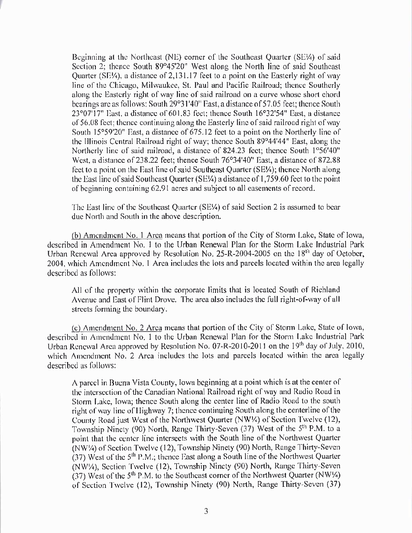Beginning at the Northeast (NE) corner of the Southeast Quarter (SE¼) of said Section 2; thence South 89°45'20" West along the North line of said Southeast Quarter (SE¼), a distance of 2,131.17 feet to a point on the Easterly right of way line of the Chicago, Milwaukee, St. Paul and Pacific Railroad; thence Southerly along the Easterly right of way line of said railroad on a curve whose short chord bearings are as follows: South 29°31'40" East, a distance of 57.05 feet; thence South 23°07'17" East, a distance of 601,83 feet; thence South 16°32'54" East, a distance of 56.08 feet; thence continuing along the Easterly line of said railroad right of way South 15°59'20" East, a distance of 675.12 feet to a point on the Northerly line of the Illinois Central Railroad right of way; thence South 89°44'44" East, along the Northerly line of said railroad, a distance of 824.23 feet; thence South 1°56'40" West, a distance of 238.22 feet; thence South 76°34'40" East, a distance of 872.88 feet to a point on the East line of said Southeast Quarter (SE¼); thence North along the East line of said Southeast Quarter (SE¼) a distance of 1,759.60 feet to the point of beginning containing 62.91 acres and subject to all easements of record.

The East line of the Southeast Quarter (SE¼) of said Section 2 is assumed to bear due North and South in the above description.

(b) Amendment No. 1 Area means that portion of the City of Storm Lake, State of Iowa, described in Amendment No. 1 to the Urban Renewal Plan for the Storm Lake Industrial Park Urban Renewal Area approved by Resolution No. 25-R-2004-2005 on the 18<sup>th</sup> day of October, 2004, which Amendment No. 1 Area includes the lots and parcels located within the area legally described as follows:

All of the property within the corporate limits that is located South of Richland Avenue and East of Flint Drove. The area also includes the full right-of-way of all streets forming the boundary.

(c) Amendment No. 2 Area means that portion of the City of Storm Lake, State of Iowa, described in Amendment No. 1 to the Urban Renewal Plan for the Storm Lake Industrial Park Urban Renewal Area approved by Resolution No. 07-R-2010-2011 on the 19th day of July, 2010, which Amendment No. 2 Area includes the lots and parcels located within the area legally described as follows:

A parcel in Buena Vista County, Iowa beginning at a point which is at the center of the intersection of the Canadian National Railroad right of way and Radio Road in Storm Lake, Iowa; thence South along the center line of Radio Road to the south right of way line of Highway 7; thence continuing South along the centerline of the County Road just West of the Northwest Quarter (NW1/4) of Section Twelve (12), Township Ninety (90) North, Range Thirty-Seven (37) West of the 5<sup>th</sup> P.M. to a point that the center line intersects with the South line of the Northwest Quarter (NW/4) of Section Twelve (12), Township Ninety (90) North, Range Thirty-Seven (37) West of the 5<sup>th</sup> P.M.; thence East along a South line of the Northwest Quarter (NW\/4), Section Twelve (12), Township Ninety (90) North, Range Thirty-Seven (37) West of the 5<sup>th</sup> P.M. to the Southeast corner of the Northwest Quarter (NW $\frac{1}{4}$ ) of Section Twelve (12), Township Ninety (90) North, Range Thirty-Seven (37)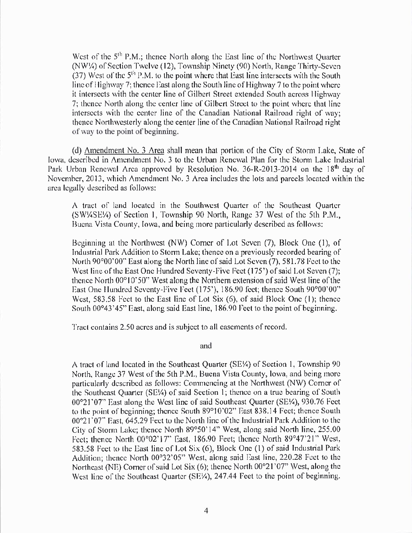West of the 5<sup>th</sup> P.M.; thence North along the East line of the Northwest Ouarter (NW¼) of Section Twelve (12), Township Ninety (90) North, Range Thirty-Seven  $(37)$  West of the  $5<sup>th</sup>$  P.M. to the point where that East line intersects with the South line of Highway 7; thence East along the South line of Highway 7 to the point where it intersects with the center line of Gilbert Street extended South across Highway 7; thence North along the center line of Gilbert Street to the point where that line intersects with the center line of the Canadian National Railroad right of way; thence Northwesterly along the center line of the Canadian National Railroad right of way to the point of beginning.

(d) Amendment No. 3 Area shall mean that portion of the City of Storm Lake, State of Iowa, described in Amendment No. 3 to the Urban Renewal Plan for the Storm Lake Industrial Park Urban Renewal Area approved by Resolution No. 36-R-2013-2014 on the 18<sup>th</sup> day of November, 2013, which Amendment No. 3 Area includes the lots and parcels located within the area legally described as follows:

A tract of land located in the Southwest Quarter of the Southeast Quarter (SW4SE4) of Section 1, Township 90 North, Range 37 West of the 5th P.M., Buena Vista County, Iowa, and being more particularly described as follows:

Beginning at the Northwest (NW) Corner of Lot Seven (7), Block One (1), of Industrial Park Addition to Storm Lake; thence on a previously recorded bearing of North 90°00'00" East along the North line of said Lot Seven (7), 581.78 Feet to the West line of the East One Hundred Seventy-Five Feet (175') of said Lot Seven (7); thence North 00°10'50" West along the Northern extension of said West line of the East One Hundred Seventy-Five Feet (175'), 186.90 feet; thence South 90°00'00" West, 583.58 Feet to the East line of Lot Six (6), of said Block One (1); thence South 00°43'45" East, along said East line, 186.90 Feet to the point of beginning.

Tract contains 2.50 acres and is subject to all easements of record.

and

A tract of land located in the Southeast Quarter (SE¼) of Section 1, Township 90 North, Range 37 West of the 5th P.M., Buena Vista County, Iowa, and being more particularly described as follows: Commencing at the Northwest (NW) Corner of the Southeast Quarter (SE¼) of said Section 1; thence on a true bearing of South 00°21'07" East along the West line of said Southeast Quarter (SE¼), 930.76 Feet to the point of beginning; thence South 89°10'02" East 838.14 Feet; thence South 00°21'07" East, 645.29 Feet to the North line of the Industrial Park Addition to the City of Storm Lake; thence North 89°50'14" West, along said North line, 255.00 Feet; thence North 00°02'17" East, 186.90 Feet; thence North 89°47'21" West, 583.58 Feet to the East line of Lot Six (6), Block One (1) of said Industrial Park Addition; thence North 00°32'05" West, along said East line, 220.28 Feet to the Northeast (NE) Corner of said Lot Six (6); thence North 00°21'07" West, along the West line of the Southeast Quarter (SE¼), 247.44 Feet to the point of beginning.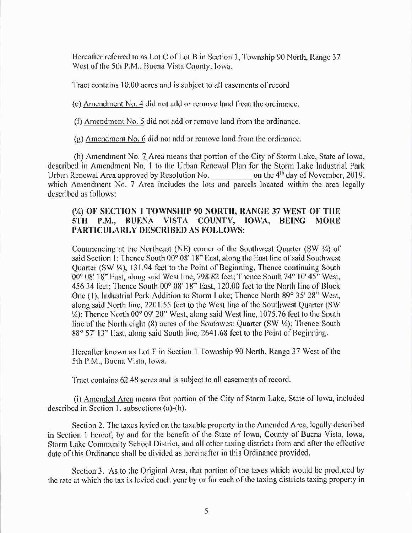Hereafter referred to as Lot C of Lot B in Section 1, Township 90 North, Range 37 West of the 5th P.M., Buena Vista County, Iowa.

Tract contains 10.00 acres and is subject to all casements of record

(e) Amendment No. 4 did not add or remove land from the ordinance.

(f)  $\Delta$ mendment No. 5 did not add or remove land from the ordinance.

 $(g)$  Amendment No. 6 did not add or remove land from the ordinance.

(h) Amendment No. 7 Area means that portion of the City of Storm Lake, State of Iowa, described in Amendment No. 1 to the Urban Renewal Plan for the Storm Lake Industrial Park Urban Renewal Area approved by Resolution No. \_\_\_\_\_\_\_\_\_\_\_\_\_\_ on the 4<sup>th</sup> day of November, 2019, which Amendment No. 7 Area includes the lots and parcels located within the area legally described as follows:

## (¼) OF SECTION 1 TOWNSHIP 90 NORTH, RANGE 37 WEST OF THE 5TH P.M., BUENA VISTA COUNTY, IOWA, **BEING MORE** PARTICULARLY DESCRIBED AS FOLLOWS:

Commencing at the Northeast (NE) corner of the Southwest Quarter (SW 1/4) of said Section 1; Thence South 00° 08' 18" East, along the East line of said Southwest Ouarter (SW ¼), 131.94 feet to the Point of Beginning. Thence continuing South 00° 08' 18" East, along said West line, 798.82 feet; Thence South 74° 10' 45" West, 456.34 feet: Thence South 00° 08' 18" East, 120.00 feet to the North line of Block One (1), Industrial Park Addition to Storm Lake; Thence North 89° 35' 28" West, along said North line, 2201.55 feet to the West line of the Southwest Quarter (SW) 1/4); Thence North 00° 09' 20" West, along said West line, 1075.76 feet to the South line of the North eight (8) acres of the Southwest Quarter (SW ¼); Thence South 88° 57' 13" East, along said South line, 2641.68 feet to the Point of Beginning.

Hereafter known as Lot F in Section 1 Township 90 North, Range 37 West of the 5th P.M., Buena Vista, Iowa.

Tract contains 62.48 acres and is subject to all casements of record.

(i) Amended Area means that portion of the City of Storm Lake, State of Iowa, included described in Section 1, subsections (a)-(h).

Section 2. The taxes levied on the taxable property in the Amended Area, legally described in Section 1 hereof, by and for the benefit of the State of Iowa, County of Buena Vista, Iowa, Storm Lake Community School District, and all other taxing districts from and after the effective date of this Ordinance shall be divided as hereinafter in this Ordinance provided.

Section 3. As to the Original Area, that portion of the taxes which would be produced by the rate at which the tax is levied each year by or for each of the taxing districts taxing property in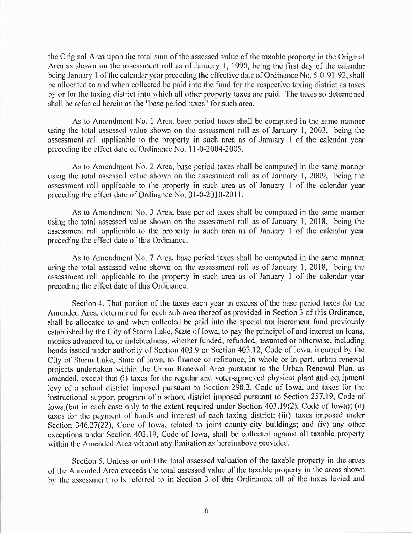the Original Area upon the total sum of the assessed value of the taxable property in the Original Area as shown on the assessment roll as of January 1, 1990, being the first day of the calendar being. January 1 of the calendar year preceding the effective date of Ordinance No. 5-0-91-92, shall be allocated to and when collected be paid into the fund for the respective taxing district as taxes by or for the taxing district into which all other property taxes are paid. The taxes so determined shall be referred herein as the "base period taxes" for such area.

As to Amendment No. 1 Area, base period taxes shall be computed in the same manner using the total assessed value shown on the assessment roll as of January 1, 2003, being the assessment roll applicablc to thc property in such arca as of January <sup>1</sup> of the calendar year preceding the effect datc of Ordinanec No. 17-0-2004-2005.

As to Amendment No. 2 Area, base period taxes shall be computed in the same manner using the total assessed value shown on the assessment roll as of January 1, 2009, being the assessmcnt roll epplicable to the property in such area as of January <sup>1</sup> of the calendar year preceding the effect date of Ordinance No. 01-0-2010-2011.

As to Amendment No. 3 Area, base period taxes shall be computed in the same manner using the total assessed value shown on the assessment roll as of January 1, 2018, being the assessmcnt roll applicable to the properiy in such area as of January <sup>1</sup> of the calendar year preceding the effect date of this Ordinance.

As to Amendment No. 7 Area, base period taxes shall be computed in the same manner using the total assessed value shown on the assessment roll as of January 1, 2018, being the assessment roll applicable to the property in such area as of January 1 of the calendar year preceding the effect date of this Ordinance.

Section 4. That portion of the taxes each year in cxccss of thc basc period taacs for thc Amended Area, determined for each sub-area thereof as provided in Section 3 of this Ordinance, shall be allocated to and when collected be paid into the special tax increment fund previously established by the City of Storm Lake, State of Iowa, to pay the principal of and interest on loans, monies advanced to, or indebtedness, whether funded, refunded, assumed or otherwise, including bonds issued under authority of Section 403.9 or Section 403.12, Code of Iowa, incurred by the City of Storm Lake, State of Iowa, to finance or refinance, in whole or in part, urban renewal projects undertaken within the Urban Renewal Area pursuant to the Urban Renewal Plan, as amended, except that (i) taxes for the regular and voter-approved physical plant and equipment levy of a school district imposed pursuant to Section 298.2, Code of Iowa, and taxes for the instructional support program of a school district imposed pursuant to Section 257.19, Code of lowa,(but in each case only to the extent required under Section 403.19(2), Code of lowa); (ii) taxes for the payment of bonds and interest of each taxing district; (iii) taxes imposed under Section 346.27(22), Code of Iowa, related to joint county-city buildings; and  $(iv)$  any other exceptions under Section 403.19, Code of Iowa, shall be collected against all taxable property within the Amended Area without any limitation as hereinabove provided.

Section 5. Unless or until the total assessed valuation of the taxable property in the areas of the Amended Area exceeds the total assessed value of the taxable property in the areas shown by the assessment rolls referred to in Section 3 of this Ordinance, all of the taxes levied and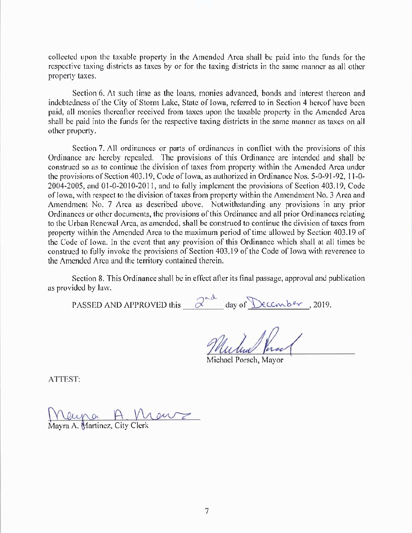collcctcd upon thc taxablc property in thc Amended Area shall be paid into thc funds for the respective taxing districts as taxes by or for the taxing districts in the same manner as all other property taxes.

Section 6. At such time as the loans, monies advanced, bonds and interest thereon and indebtedness of the City of Storm Lake, State of Iowa, referred to in Section 4 hereof have been paid, all monies thereafter received from taxes upon the taxable property in the Amended Arca shall be paid into the funds for the respective taxing districts in the same manner as taxes on all other property.

Section 7. All ordinances or parts of ordinances in conflict with the provisions of this Ordinance are hereby repealed. The provisions of this Ordinance are intended and shall be construed so as to continue the division of taxes from property within the Amended Area under the provisions of Section 403.19, Code of Iowa, as authorized in Ordinance Nos. 5-0-91-92, 11-0-2004-2005, and O1-0-2010-201 I, and to fully implement the provisions of Section 403. 19, Codc of Iowa, with respect to the division of taxes from property within the Amendment No. 3 Area and Amendment No. 7 Area as described above. Notwithstanding any provisions in any prior Ordinances or other documents, the provisions of this Ordinance and all prior Ordinances relating to the Urban Renewal Arca, as amended, shall be construed to continue the division of taxes from property within the Amended Area to the maximum period of time allowed by Section 403.19 of the Code of Iowa. In the event that any provision of this Ordinance which shall at all times be construed to fully invoke the provisions of Section 403. 19 of the Code of Iowa with reverence to the Amended Area and the territory contained therein.

Section 8. This Ordinance shall be in effect after its final passage, approval and publication as provided by law.

3- PASSED AND APPROVED this  $\alpha$  day of <u>Necember</u> , 2019.

Michael Porsch, Mayor

ATTEST:

<u>IVaya AV</u>

Mayra A. Martinez, City Clerk